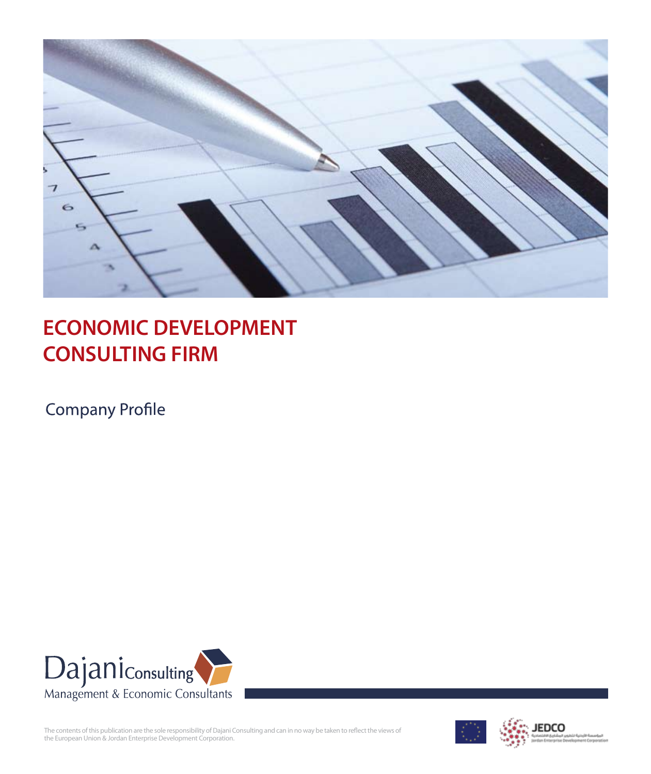

# **ECONOMIC DEVELOPMENT CONSULTING FIRM**

**Company Profile** 



The contents of this publication are the sole responsibility of Dajani Consulting and can in no way be taken to reflect the views of the European Union & Jordan Enterprise Development Corporation.

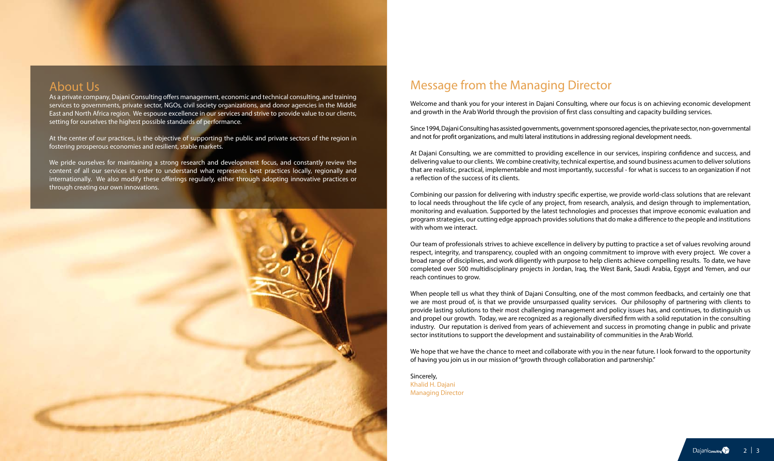### About Us

As a private company, Dajani Consulting offers management, economic and technical consulting, and training services to governments, private sector, NGOs, civil society organizations, and donor agencies in the Middle East and North Africa region. We espouse excellence in our services and strive to provide value to our clients, setting for ourselves the highest possible standards of performance.

We pride ourselves for maintaining a strong research and development focus, and constantly review the content of all our services in order to understand what represents best practices locally, regionally and internationally. We also modify these offerings regularly, either through adopting innovative practices or through creating our own innovations.



At the center of our practices, is the objective of supporting the public and private sectors of the region in fostering prosperous economies and resilient, stable markets.

## Message from the Managing Director

Welcome and thank you for your interest in Dajani Consulting, where our focus is on achieving economic development and growth in the Arab World through the provision of first class consulting and capacity building services.

Since 1994, Dajani Consulting has assisted governments, government sponsored agencies, the private sector, non-governmental and not for profit organizations, and multi lateral institutions in addressing regional development needs.

At Dajani Consulting, we are committed to providing excellence in our services, inspiring confidence and success, and delivering value to our clients. We combine creativity, technical expertise, and sound business acumen to deliver solutions that are realistic, practical, implementable and most importantly, successful - for what is success to an organization if not a reflection of the success of its clients.

We hope that we have the chance to meet and collaborate with you in the near future. I look forward to the opportunity of having you join us in our mission of "growth through collaboration and partnership."

Combining our passion for delivering with industry specific expertise, we provide world-class solutions that are relevant to local needs throughout the life cycle of any project, from research, analysis, and design through to implementation, monitoring and evaluation. Supported by the latest technologies and processes that improve economic evaluation and program strategies, our cutting edge approach provides solutions that do make a difference to the people and institutions with whom we interact.

Our team of professionals strives to achieve excellence in delivery by putting to practice a set of values revolving around respect, integrity, and transparency, coupled with an ongoing commitment to improve with every project. We cover a broad range of disciplines, and work diligently with purpose to help clients achieve compelling results. To date, we have completed over 500 multidisciplinary projects in Jordan, Iraq, the West Bank, Saudi Arabia, Egypt and Yemen, and our reach continues to grow.

When people tell us what they think of Dajani Consulting, one of the most common feedbacks, and certainly one that we are most proud of, is that we provide unsurpassed quality services. Our philosophy of partnering with clients to provide lasting solutions to their most challenging management and policy issues has, and continues, to distinguish us and propel our growth. Today, we are recognized as a regionally diversified firm with a solid reputation in the consulting industry. Our reputation is derived from years of achievement and success in promoting change in public and private sector institutions to support the development and sustainability of communities in the Arab World.

Sincerely, Khalid H. Dajani Managing Director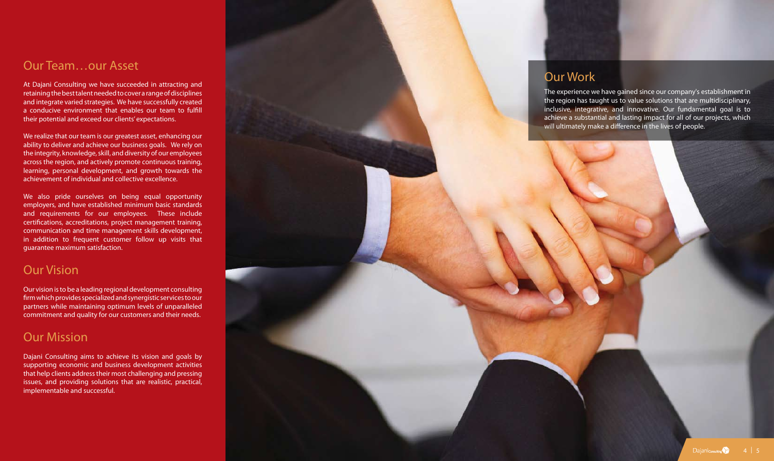### Our Team…our Asset

At Dajani Consulting we have succeeded in attracting and retaining the best talent needed to cover a range of disciplines and integrate varied strategies. We have successfully created a conducive environment that enables our team to fulfill their potential and exceed our clients' expectations.

We realize that our team is our greatest asset, enhancing our ability to deliver and achieve our business goals. We rely on the integrity, knowledge, skill, and diversity of our employees across the region, and actively promote continuous training, learning, personal development, and growth towards the achievement of individual and collective excellence.

We also pride ourselves on being equal opportunity employers, and have established minimum basic standards and requirements for our employees. These include certifications, accreditations, project management training, communication and time management skills development, in addition to frequent customer follow up visits that guarantee maximum satisfaction.

## Our Vision

Our vision is to be a leading regional development consulting firm which provides specialized and synergistic services to our partners while maintaining optimum levels of unparalleled commitment and quality for our customers and their needs.

# Our Mission

Dajani Consulting aims to achieve its vision and goals by supporting economic and business development activities that help clients address their most challenging and pressing issues, and providing solutions that are realistic, practical, implementable and successful.



The experience we have gained since our company's establishment in the region has taught us to value solutions that are multidisciplinary, inclusive, integrative, and innovative. Our fundamental goal is to achieve a substantial and lasting impact for all of our projects, which will ultimately make a difference in the lives of people.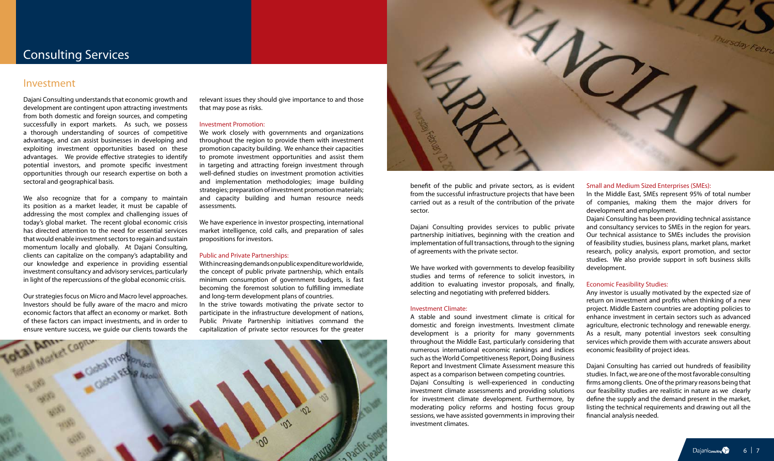Dajani Consulting understands that economic growth and development are contingent upon attracting investments from both domestic and foreign sources, and competing successfully in export markets. As such, we possess a thorough understanding of sources of competitive advantage, and can assist businesses in developing and exploiting investment opportunities based on these advantages. We provide effective strategies to identify potential investors, and promote specific investment opportunities through our research expertise on both a sectoral and geographical basis.

We also recognize that for a company to maintain its position as a market leader, it must be capable of addressing the most complex and challenging issues of today's global market. The recent global economic crisis has directed attention to the need for essential services that would enable investment sectors to regain and sustain momentum locally and globally. At Dajani Consulting, clients can capitalize on the company's adaptability and our knowledge and experience in providing essential investment consultancy and advisory services, particularly in light of the repercussions of the global economic crisis.

Our strategies focus on Micro and Macro level approaches. Investors should be fully aware of the macro and micro economic factors that affect an economy or market. Both of these factors can impact investments, and in order to



relevant issues they should give importance to and those that may pose as risks.

#### Investment Promotion:

We work closely with governments and organizations throughout the region to provide them with investment promotion capacity building. We enhance their capacities to promote investment opportunities and assist them in targeting and attracting foreign investment through well-defined studies on investment promotion activities and implementation methodologies; image building strategies; preparation of investment promotion materials; and capacity building and human resource needs assessments.

We have experience in investor prospecting, international market intelligence, cold calls, and preparation of sales propositions for investors.

#### Public and Private Partnerships:

With increasing demands on public expenditure worldwide, the concept of public private partnership, which entails minimum consumption of government budgets, is fast becoming the foremost solution to fulfilling immediate and long-term development plans of countries. In the strive towards motivating the private sector to

participate in the infrastructure development of nations, Public Private Partnership initiatives command the capitalization of private sector resources for the greater



benefit of the public and private sectors, as is evident from the successful infrastructure projects that have been carried out as a result of the contribution of the private sector.

Dajani Consulting provides services to public private partnership initiatives, beginning with the creation and implementation of full transactions, through to the signing of agreements with the private sector.

We have worked with governments to develop feasibility studies and terms of reference to solicit investors, in addition to evaluating investor proposals, and finally, selecting and negotiating with preferred bidders.

### Investment Climate:

A stable and sound investment climate is critical for domestic and foreign investments. Investment climate development is a priority for many governments throughout the Middle East, particularly considering that numerous international economic rankings and indices such as the World Competitiveness Report, Doing Business Report and Investment Climate Assessment measure this aspect as a comparison between competing countries. Dajani Consulting is well-experienced in conducting investment climate assessments and providing solutions for investment climate development. Furthermore, by moderating policy reforms and hosting focus group sessions, we have assisted governments in improving their

investment climates.

#### Small and Medium Sized Enterprises (SMEs):

In the Middle East, SMEs represent 95% of total number of companies, making them the major drivers for development and employment.

Dajani Consulting has been providing technical assistance and consultancy services to SMEs in the region for years. Our technical assistance to SMEs includes the provision of feasibility studies, business plans, market plans, market research, policy analysis, export promotion, and sector studies. We also provide support in soft business skills development.

#### Economic Feasibility Studies:

Any investor is usually motivated by the expected size of return on investment and profits when thinking of a new project. Middle Eastern countries are adopting policies to enhance investment in certain sectors such as advanced agriculture, electronic technology and renewable energy. As a result, many potential investors seek consulting services which provide them with accurate answers about economic feasibility of project ideas.

Dajani Consulting has carried out hundreds of feasibility studies. In fact, we are one of the most favorable consulting firms among clients. One of the primary reasons being that our feasibility studies are realistic in nature as we clearly define the supply and the demand present in the market, listing the technical requirements and drawing out all the financial analysis needed.

### Investment

## Consulting Services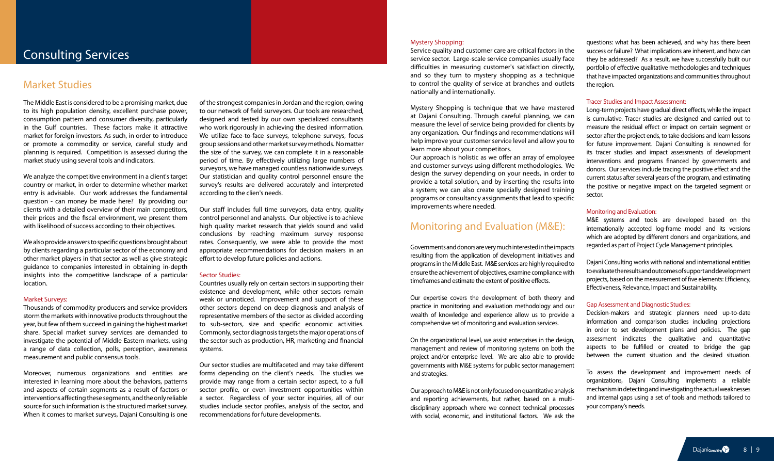### Consulting Services

### Market Studies

The Middle East is considered to be a promising market, due to its high population density, excellent purchase power, consumption pattern and consumer diversity, particularly in the Gulf countries. These factors make it attractive market for foreign investors. As such, in order to introduce or promote a commodity or service, careful study and planning is required. Competition is assessed during the market study using several tools and indicators.

We analyze the competitive environment in a client's target country or market, in order to determine whether market entry is advisable. Our work addresses the fundamental question - can money be made here? By providing our clients with a detailed overview of their main competitors, their prices and the fiscal environment, we present them with likelihood of success according to their objectives.

We also provide answers to specific questions brought about by clients regarding a particular sector of the economy and other market players in that sector as well as give strategic guidance to companies interested in obtaining in-depth insights into the competitive landscape of a particular location.

#### Market Surveys:

Thousands of commodity producers and service providers storm the markets with innovative products throughout the year, but few of them succeed in gaining the highest market share. Special market survey services are demanded to investigate the potential of Middle Eastern markets, using a range of data collection, polls, perception, awareness measurement and public consensus tools.

Moreover, numerous organizations and entities are interested in learning more about the behaviors, patterns and aspects of certain segments as a result of factors or interventions affecting these segments, and the only reliable source for such information is the structured market survey. When it comes to market surveys, Dajani Consulting is one

of the strongest companies in Jordan and the region, owing to our network of field surveyors. Our tools are researched, designed and tested by our own specialized consultants who work rigorously in achieving the desired information. We utilize face-to-face surveys, telephone surveys, focus group sessions and other market survey methods. No matter the size of the survey, we can complete it in a reasonable period of time. By effectively utilizing large numbers of surveyors, we have managed countless nationwide surveys. Our statistician and quality control personnel ensure the survey's results are delivered accurately and interpreted according to the clien's needs.

Our staff includes full time surveyors, data entry, quality control personnel and analysts. Our objective is to achieve high quality market research that yields sound and valid conclusions by reaching maximum survey response rates. Consequently, we were able to provide the most appropriate recommendations for decision makers in an effort to develop future policies and actions.

### Sector Studies:

Countries usually rely on certain sectors in supporting their existence and development, while other sectors remain weak or unnoticed. Improvement and support of these other sectors depend on deep diagnosis and analysis of representative members of the sector as divided according to sub-sectors, size and specific economic activities. Commonly, sector diagnosis targets the major operations of the sector such as production, HR, marketing and financial systems.

Our sector studies are multifaceted and may take different forms depending on the client's needs. The studies we provide may range from a certain sector aspect, to a full sector profile, or even investment opportunities within a sector. Regardless of your sector inquiries, all of our studies include sector profiles, analysis of the sector, and recommendations for future developments.

### Mystery Shopping:

Service quality and customer care are critical factors in the service sector. Large-scale service companies usually face difficulties in measuring customer's satisfaction directly, and so they turn to mystery shopping as a technique to control the quality of service at branches and outlets nationally and internationally.

Mystery Shopping is technique that we have mastered at Dajani Consulting. Through careful planning, we can measure the level of service being provided for clients by any organization. Our findings and recommendations will help improve your customer service level and allow you to learn more about your competitors.

Our approach is holistic as we offer an array of employee and customer surveys using different methodologies. We design the survey depending on your needs, in order to provide a total solution, and by inserting the results into a system; we can also create specially designed training programs or consultancy assignments that lead to specific improvements where needed.

### Monitoring and Evaluation (M&E):

Governments and donors are very much interested in the impacts resulting from the application of development initiatives and programs in the Middle East. M&E services are highly required to ensure the achievement of objectives, examine compliance with timeframes and estimate the extent of positive effects.

Our expertise covers the development of both theory and practice in monitoring and evaluation methodology and our wealth of knowledge and experience allow us to provide a comprehensive set of monitoring and evaluation services.

On the organizational level, we assist enterprises in the design, management and review of monitoring systems on both the project and/or enterprise level. We are also able to provide governments with M&E systems for public sector management and strategies.

Our approach to M&E is not only focused on quantitative analysis and reporting achievements, but rather, based on a multidisciplinary approach where we connect technical processes with social, economic, and institutional factors. We ask the questions: what has been achieved, and why has there been success or failure? What implications are inherent, and how can they be addressed? As a result, we have successfully built our portfolio of effective qualitative methodologies and techniques that have impacted organizations and communities throughout the region.

#### Tracer Studies and Impact Assessment:

Long-term projects have gradual direct effects, while the impact is cumulative. Tracer studies are designed and carried out to measure the residual effect or impact on certain segment or sector after the project ends, to take decisions and learn lessons for future improvement. Dajani Consulting is renowned for its tracer studies and impact assessments of development interventions and programs financed by governments and donors. Our services include tracing the positive effect and the current status after several years of the program, and estimating the positive or negative impact on the targeted segment or sector.

#### Monitoring and Evaluation:

M&E systems and tools are developed based on the internationally accepted log-frame model and its versions which are adopted by different donors and organizations, and regarded as part of Project Cycle Management principles.

Dajani Consulting works with national and international entities to evaluate the results and outcomes of support and development projects, based on the measurement of five elements: Efficiency, Effectiveness, Relevance, Impact and Sustainability.

#### Gap Assessment and Diagnostic Studies:

Decision-makers and strategic planners need up-to-date information and comparison studies including projections in order to set development plans and policies. The gap assessment indicates the qualitative and quantitative aspects to be fulfilled or created to bridge the gap between the current situation and the desired situation.

To assess the development and improvement needs of organizations, Dajani Consulting implements a reliable mechanism in detecting and investigating the actual weaknesses and internal gaps using a set of tools and methods tailored to your company's needs.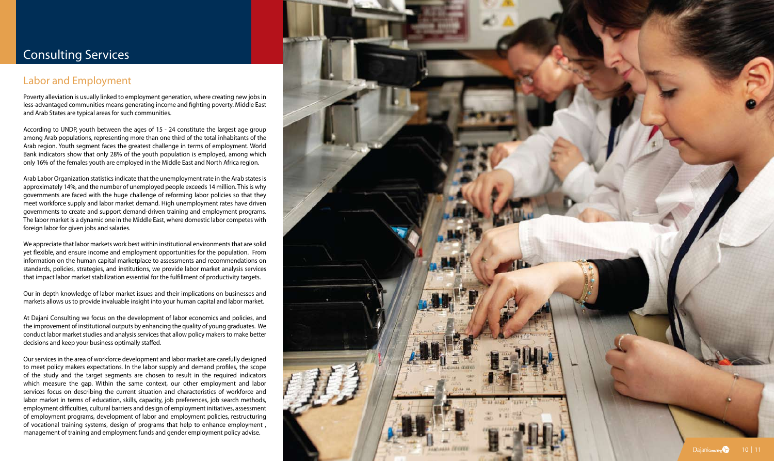### Labor and Employment

Poverty alleviation is usually linked to employment generation, where creating new jobs in less-advantaged communities means generating income and fighting poverty. Middle East and Arab States are typical areas for such communities.

According to UNDP, youth between the ages of 15 - 24 constitute the largest age group among Arab populations, representing more than one third of the total inhabitants of the Arab region. Youth segment faces the greatest challenge in terms of employment. World Bank indicators show that only 28% of the youth population is employed, among which only 16% of the females youth are employed in the Middle East and North Africa region.

Arab Labor Organization statistics indicate that the unemployment rate in the Arab states is approximately 14%, and the number of unemployed people exceeds 14 million. This is why governments are faced with the huge challenge of reforming labor policies so that they meet workforce supply and labor market demand. High unemployment rates have driven governments to create and support demand-driven training and employment programs. The labor market is a dynamic one in the Middle East, where domestic labor competes with foreign labor for given jobs and salaries.

We appreciate that labor markets work best within institutional environments that are solid yet flexible, and ensure income and employment opportunities for the population. From information on the human capital marketplace to assessments and recommendations on standards, policies, strategies, and institutions, we provide labor market analysis services that impact labor market stabilization essential for the fulfillment of productivity targets.

Our in-depth knowledge of labor market issues and their implications on businesses and markets allows us to provide invaluable insight into your human capital and labor market.

At Dajani Consulting we focus on the development of labor economics and policies, and the improvement of institutional outputs by enhancing the quality of young graduates. We conduct labor market studies and analysis services that allow policy makers to make better decisions and keep your business optimally staffed.

Our services in the area of workforce development and labor market are carefully designed to meet policy makers expectations. In the labor supply and demand profiles, the scope of the study and the target segments are chosen to result in the required indicators which measure the gap. Within the same context, our other employment and labor services focus on describing the current situation and characteristics of workforce and labor market in terms of education, skills, capacity, job preferences, job search methods, employment difficulties, cultural barriers and design of employment initiatives, assessment of employment programs, development of labor and employment policies, restructuring of vocational training systems, design of programs that help to enhance employment , management of training and employment funds and gender employment policy advise.



# Consulting Services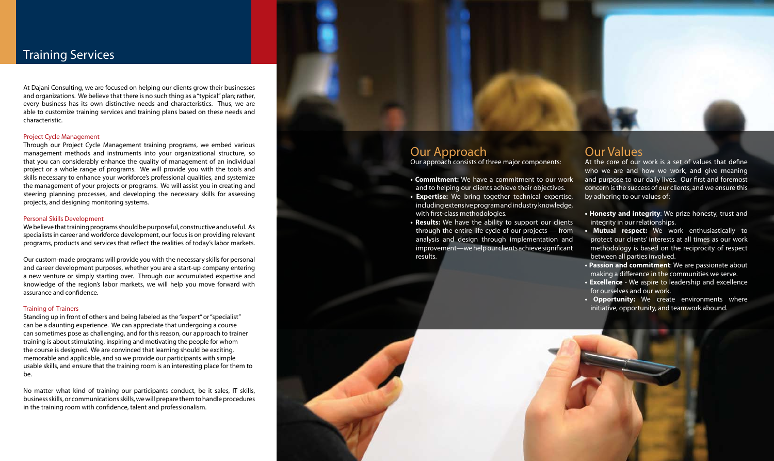### Training Services

At Dajani Consulting, we are focused on helping our clients grow their businesses and organizations. We believe that there is no such thing as a "typical" plan; rather, every business has its own distinctive needs and characteristics. Thus, we are able to customize training services and training plans based on these needs and characteristic.

#### Project Cycle Management

Through our Project Cycle Management training programs, we embed various management methods and instruments into your organizational structure, so that you can considerably enhance the quality of management of an individual project or a whole range of programs. We will provide you with the tools and skills necessary to enhance your workforce's professional qualities, and systemize the management of your projects or programs. We will assist you in creating and steering planning processes, and developing the necessary skills for assessing projects, and designing monitoring systems.

#### Personal Skills Development

We believe that training programs should be purposeful, constructive and useful. As specialists in career and workforce development, our focus is on providing relevant programs, products and services that reflect the realities of today's labor markets.

Our custom-made programs will provide you with the necessary skills for personal and career development purposes, whether you are a start-up company entering a new venture or simply starting over. Through our accumulated expertise and knowledge of the region's labor markets, we will help you move forward with assurance and confidence.

### Training of Trainers

Standing up in front of others and being labeled as the "expert" or "specialist" can be a daunting experience. We can appreciate that undergoing a course can sometimes pose as challenging, and for this reason, our approach to trainer training is about stimulating, inspiring and motivating the people for whom the course is designed. We are convinced that learning should be exciting, memorable and applicable, and so we provide our participants with simple usable skills, and ensure that the training room is an interesting place for them to be.

No matter what kind of training our participants conduct, be it sales, IT skills, business skills, or communications skills, we will prepare them to handle procedures in the training room with confidence, talent and professionalism.

### Our Approach

Our approach consists of three major components:

- **Commitment:** We have a commitment to our work and to helping our clients achieve their objectives.
- **Expertise:** We bring together technical expertise, including extensive program and industry knowledge, with first-class methodologies.
- **Results:** We have the ability to support our clients through the entire life cycle of our projects — from analysis and design through implementation and improvement—we help our clients achieve significant results.



### Our Values

At the core of our work is a set of values that define who we are and how we work, and give meaning and purpose to our daily lives. Our first and foremost concern is the success of our clients, and we ensure this by adhering to our values of:

- **Honesty and integrity**: We prize honesty, trust and integrity in our relationships.
- **Mutual respect:** We work enthusiastically to protect our clients' interests at all times as our work methodology is based on the reciprocity of respect between all parties involved.
- **Passion and commitment**: We are passionate about making a difference in the communities we serve.
- **Excellence**  We aspire to leadership and excellence for ourselves and our work.
- **Opportunity:** We create environments where initiative, opportunity, and teamwork abound.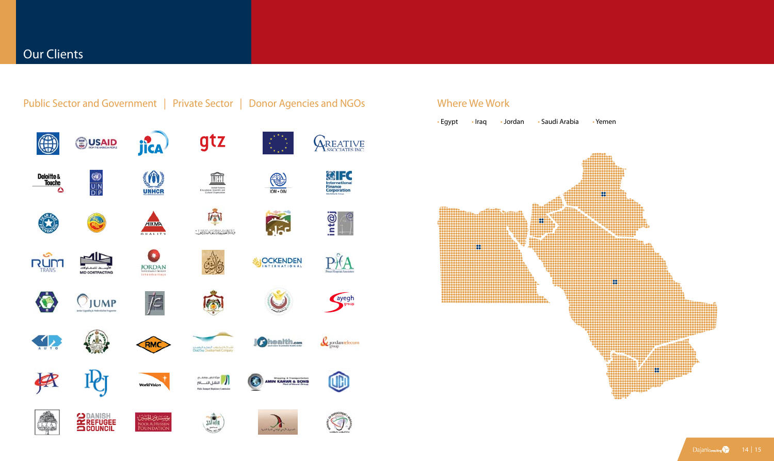



Dajaniconsulting 14 | 15